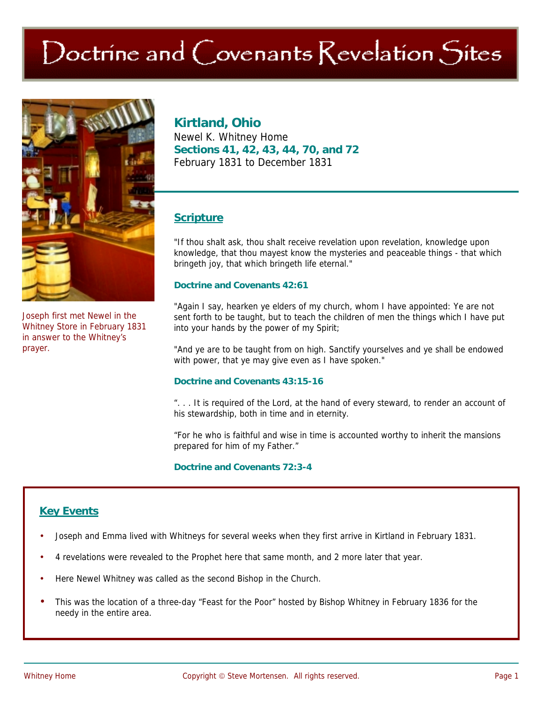# Doctrine and Covenants Revelation Sites



Joseph first met Newel in the Whitney Store in February 1831 in answer to the Whitney's prayer.

## **Kirtland, Ohio**

Newel K. Whitney Home **Sections 41, 42, 43, 44, 70, and 72**  February 1831 to December 1831

## **Scripture**

"If thou shalt ask, thou shalt receive revelation upon revelation, knowledge upon knowledge, that thou mayest know the mysteries and peaceable things - that which bringeth joy, that which bringeth life eternal."

#### **Doctrine and Covenants 42:61**

"Again I say, hearken ye elders of my church, whom I have appointed: Ye are not sent forth to be taught, but to teach the children of men the things which I have put into your hands by the power of my Spirit;

"And ye are to be taught from on high. Sanctify yourselves and ye shall be endowed with power, that ye may give even as I have spoken."

#### **Doctrine and Covenants 43:15-16**

". . . It is required of the Lord, at the hand of every steward, to render an account of his stewardship, both in time and in eternity.

"For he who is faithful and wise in time is accounted worthy to inherit the mansions prepared for him of my Father."

#### **Doctrine and Covenants 72:3-4**

## **Key Events**

- Joseph and Emma lived with Whitneys for several weeks when they first arrive in Kirtland in February 1831.
- 4 revelations were revealed to the Prophet here that same month, and 2 more later that year.
- Here Newel Whitney was called as the second Bishop in the Church.
- This was the location of a three-day "Feast for the Poor" hosted by Bishop Whitney in February 1836 for the needy in the entire area.